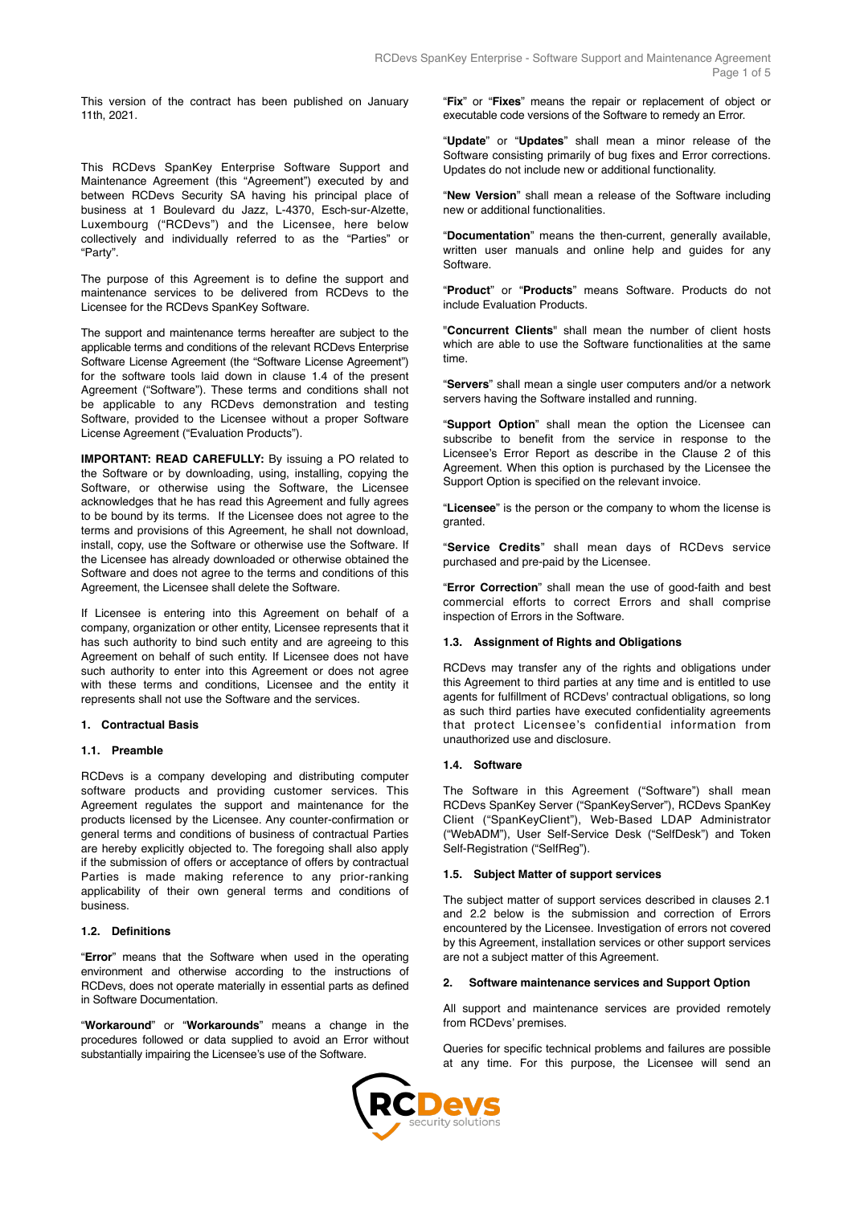This version of the contract has been published on January 11th, 2021.

This RCDevs SpanKey Enterprise Software Support and Maintenance Agreement (this "Agreement") executed by and between RCDevs Security SA having his principal place of business at 1 Boulevard du Jazz, L-4370, Esch-sur-Alzette, Luxembourg ("RCDevs") and the Licensee, here below collectively and individually referred to as the "Parties" or "Party".

The purpose of this Agreement is to define the support and maintenance services to be delivered from RCDevs to the Licensee for the RCDevs SpanKey Software.

The support and maintenance terms hereafter are subject to the applicable terms and conditions of the relevant RCDevs Enterprise Software License Agreement (the "Software License Agreement") for the software tools laid down in clause 1.4 of the present Agreement ("Software"). These terms and conditions shall not be applicable to any RCDevs demonstration and testing Software, provided to the Licensee without a proper Software License Agreement ("Evaluation Products").

**IMPORTANT: READ CAREFULLY:** By issuing a PO related to the Software or by downloading, using, installing, copying the Software, or otherwise using the Software, the Licensee acknowledges that he has read this Agreement and fully agrees to be bound by its terms. If the Licensee does not agree to the terms and provisions of this Agreement, he shall not download, install, copy, use the Software or otherwise use the Software. If the Licensee has already downloaded or otherwise obtained the Software and does not agree to the terms and conditions of this Agreement, the Licensee shall delete the Software.

If Licensee is entering into this Agreement on behalf of a company, organization or other entity, Licensee represents that it has such authority to bind such entity and are agreeing to this Agreement on behalf of such entity. If Licensee does not have such authority to enter into this Agreement or does not agree with these terms and conditions, Licensee and the entity it represents shall not use the Software and the services.

#### **1. Contractual Basis**

### **1.1. Preamble**

RCDevs is a company developing and distributing computer software products and providing customer services. This Agreement regulates the support and maintenance for the products licensed by the Licensee. Any counter-confirmation or general terms and conditions of business of contractual Parties are hereby explicitly objected to. The foregoing shall also apply if the submission of offers or acceptance of offers by contractual Parties is made making reference to any prior-ranking applicability of their own general terms and conditions of business.

### **1.2. Definitions**

"**Error**" means that the Software when used in the operating environment and otherwise according to the instructions of RCDevs, does not operate materially in essential parts as defined in Software Documentation.

"**Workaround**" or "**Workarounds**" means a change in the procedures followed or data supplied to avoid an Error without substantially impairing the Licensee's use of the Software.

"**Fix**" or "**Fixes**" means the repair or replacement of object or executable code versions of the Software to remedy an Error.

"**Update**" or "**Updates**" shall mean a minor release of the Software consisting primarily of bug fixes and Error corrections. Updates do not include new or additional functionality.

"**New Version**" shall mean a release of the Software including new or additional functionalities.

"**Documentation**" means the then-current, generally available, written user manuals and online help and guides for any Software.

"**Product**" or "**Products**" means Software. Products do not include Evaluation Products.

"**Concurrent Clients**" shall mean the number of client hosts which are able to use the Software functionalities at the same time.

"**Servers**" shall mean a single user computers and/or a network servers having the Software installed and running.

"**Support Option**" shall mean the option the Licensee can subscribe to benefit from the service in response to the Licensee's Error Report as describe in the Clause 2 of this Agreement. When this option is purchased by the Licensee the Support Option is specified on the relevant invoice.

"**Licensee**" is the person or the company to whom the license is granted.

"**Service Credits**" shall mean days of RCDevs service purchased and pre-paid by the Licensee.

"**Error Correction**" shall mean the use of good-faith and best commercial efforts to correct Errors and shall comprise inspection of Errors in the Software.

### **1.3. Assignment of Rights and Obligations**

RCDevs may transfer any of the rights and obligations under this Agreement to third parties at any time and is entitled to use agents for fulfillment of RCDevs' contractual obligations, so long as such third parties have executed confidentiality agreements that protect Licensee's confidential information from unauthorized use and disclosure.

#### **1.4. Software**

The Software in this Agreement ("Software") shall mean RCDevs SpanKey Server ("SpanKeyServer"), RCDevs SpanKey Client ("SpanKeyClient"), Web-Based LDAP Administrator ("WebADM"), User Self-Service Desk ("SelfDesk") and Token Self-Registration ("SelfReg").

#### **1.5. Subject Matter of support services**

The subject matter of support services described in clauses 2.1 and 2.2 below is the submission and correction of Errors encountered by the Licensee. Investigation of errors not covered by this Agreement, installation services or other support services are not a subject matter of this Agreement.

#### **2. Software maintenance services and Support Option**

All support and maintenance services are provided remotely from RCDevs' premises.

Queries for specific technical problems and failures are possible at any time. For this purpose, the Licensee will send an

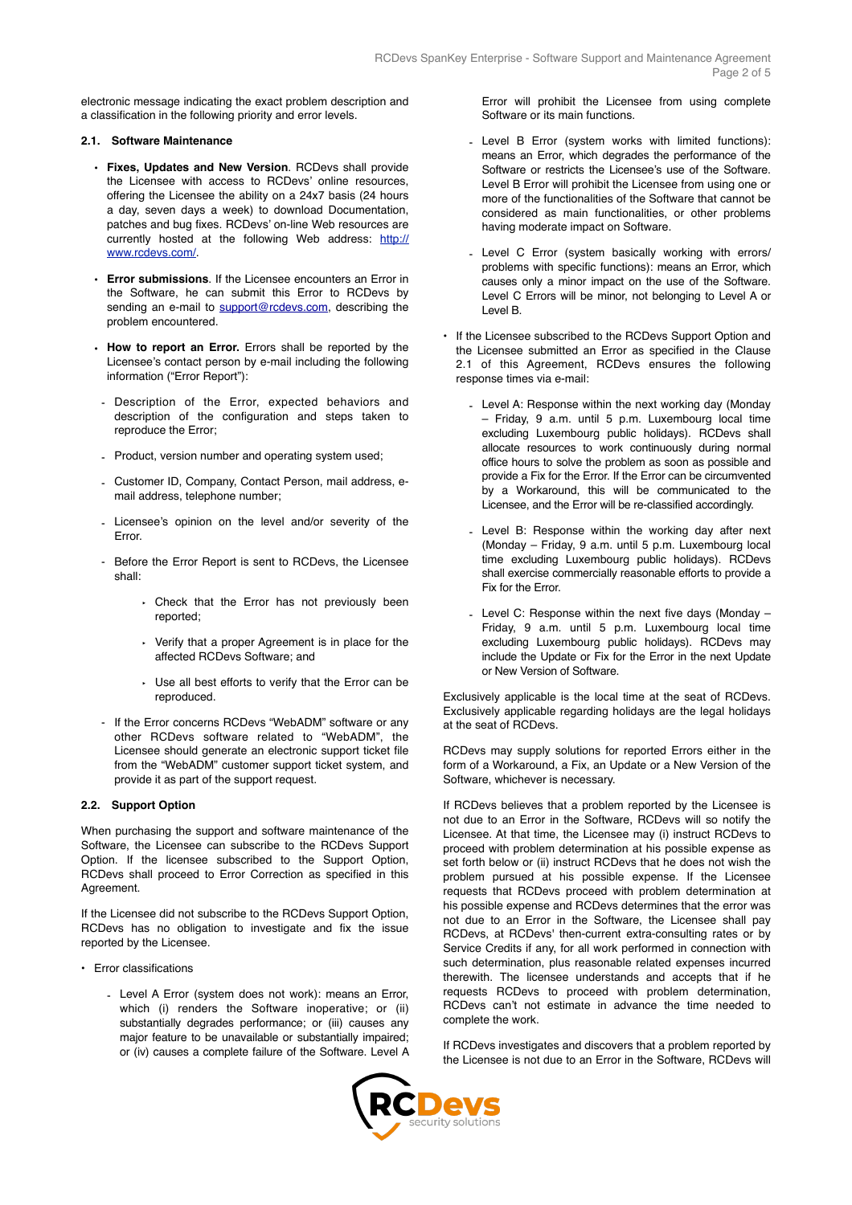electronic message indicating the exact problem description and a classification in the following priority and error levels.

## **2.1. Software Maintenance**

- **Fixes, Updates and New Version**. RCDevs shall provide the Licensee with access to RCDevs' online resources, offering the Licensee the ability on a 24x7 basis (24 hours a day, seven days a week) to download Documentation, patches and bug fixes. RCDevs' on-line Web resources are currently hosted at the following Web address: [http://](http://www.rcdevs.com/members) [www.rcdevs.com/.](http://www.rcdevs.com/members)
- **Error submissions**. If the Licensee encounters an Error in the Software, he can submit this Error to RCDevs by sending an e-mail to [support@rcdevs.com](mailto:support@rcdevs.com), describing the problem encountered.
- **How to report an Error.** Errors shall be reported by the Licensee's contact person by e-mail including the following information ("Error Report"):
- Description of the Error, expected behaviors and description of the configuration and steps taken to reproduce the Error;
- Product, version number and operating system used;
- Customer ID, Company, Contact Person, mail address, email address, telephone number;
- Licensee's opinion on the level and/or severity of the Error.
- Before the Error Report is sent to RCDevs, the Licensee shall:
	- ‣ Check that the Error has not previously been reported;
	- ‣ Verify that a proper Agreement is in place for the affected RCDevs Software; and
	- ‣ Use all best efforts to verify that the Error can be reproduced.
- If the Error concerns RCDevs "WebADM" software or any other RCDevs software related to "WebADM" the Licensee should generate an electronic support ticket file from the "WebADM" customer support ticket system, and provide it as part of the support request.

# **2.2. Support Option**

When purchasing the support and software maintenance of the Software, the Licensee can subscribe to the RCDevs Support Option. If the licensee subscribed to the Support Option, RCDevs shall proceed to Error Correction as specified in this **Agreement** 

If the Licensee did not subscribe to the RCDevs Support Option, RCDevs has no obligation to investigate and fix the issue reported by the Licensee.

- Error classifications
	- Level A Error (system does not work): means an Error, which (i) renders the Software inoperative; or (ii) substantially degrades performance; or (iii) causes any major feature to be unavailable or substantially impaired; or (iv) causes a complete failure of the Software. Level A

Error will prohibit the Licensee from using complete Software or its main functions.

- Level B Error (system works with limited functions): means an Error, which degrades the performance of the Software or restricts the Licensee's use of the Software. Level B Error will prohibit the Licensee from using one or more of the functionalities of the Software that cannot be considered as main functionalities, or other problems having moderate impact on Software.
- Level C Error (system basically working with errors/ problems with specific functions): means an Error, which causes only a minor impact on the use of the Software. Level C Errors will be minor, not belonging to Level A or Level B.
- If the Licensee subscribed to the RCDevs Support Option and the Licensee submitted an Error as specified in the Clause 2.1 of this Agreement, RCDevs ensures the following response times via e-mail:
	- Level A: Response within the next working day (Monday – Friday, 9 a.m. until 5 p.m. Luxembourg local time excluding Luxembourg public holidays). RCDevs shall allocate resources to work continuously during normal office hours to solve the problem as soon as possible and provide a Fix for the Error. If the Error can be circumvented by a Workaround, this will be communicated to the Licensee, and the Error will be re-classified accordingly.
	- Level B: Response within the working day after next (Monday – Friday, 9 a.m. until 5 p.m. Luxembourg local time excluding Luxembourg public holidays). RCDevs shall exercise commercially reasonable efforts to provide a Fix for the Error.
	- Level C: Response within the next five days (Monday Friday, 9 a.m. until 5 p.m. Luxembourg local time excluding Luxembourg public holidays). RCDevs may include the Update or Fix for the Error in the next Update or New Version of Software.

Exclusively applicable is the local time at the seat of RCDevs. Exclusively applicable regarding holidays are the legal holidays at the seat of RCDevs.

RCDevs may supply solutions for reported Errors either in the form of a Workaround, a Fix, an Update or a New Version of the Software, whichever is necessary.

If RCDevs believes that a problem reported by the Licensee is not due to an Error in the Software, RCDevs will so notify the Licensee. At that time, the Licensee may (i) instruct RCDevs to proceed with problem determination at his possible expense as set forth below or (ii) instruct RCDevs that he does not wish the problem pursued at his possible expense. If the Licensee requests that RCDevs proceed with problem determination at his possible expense and RCDevs determines that the error was not due to an Error in the Software, the Licensee shall pay RCDevs, at RCDevs' then-current extra-consulting rates or by Service Credits if any, for all work performed in connection with such determination, plus reasonable related expenses incurred therewith. The licensee understands and accepts that if he requests RCDevs to proceed with problem determination, RCDevs can't not estimate in advance the time needed to complete the work.

If RCDevs investigates and discovers that a problem reported by the Licensee is not due to an Error in the Software, RCDevs will

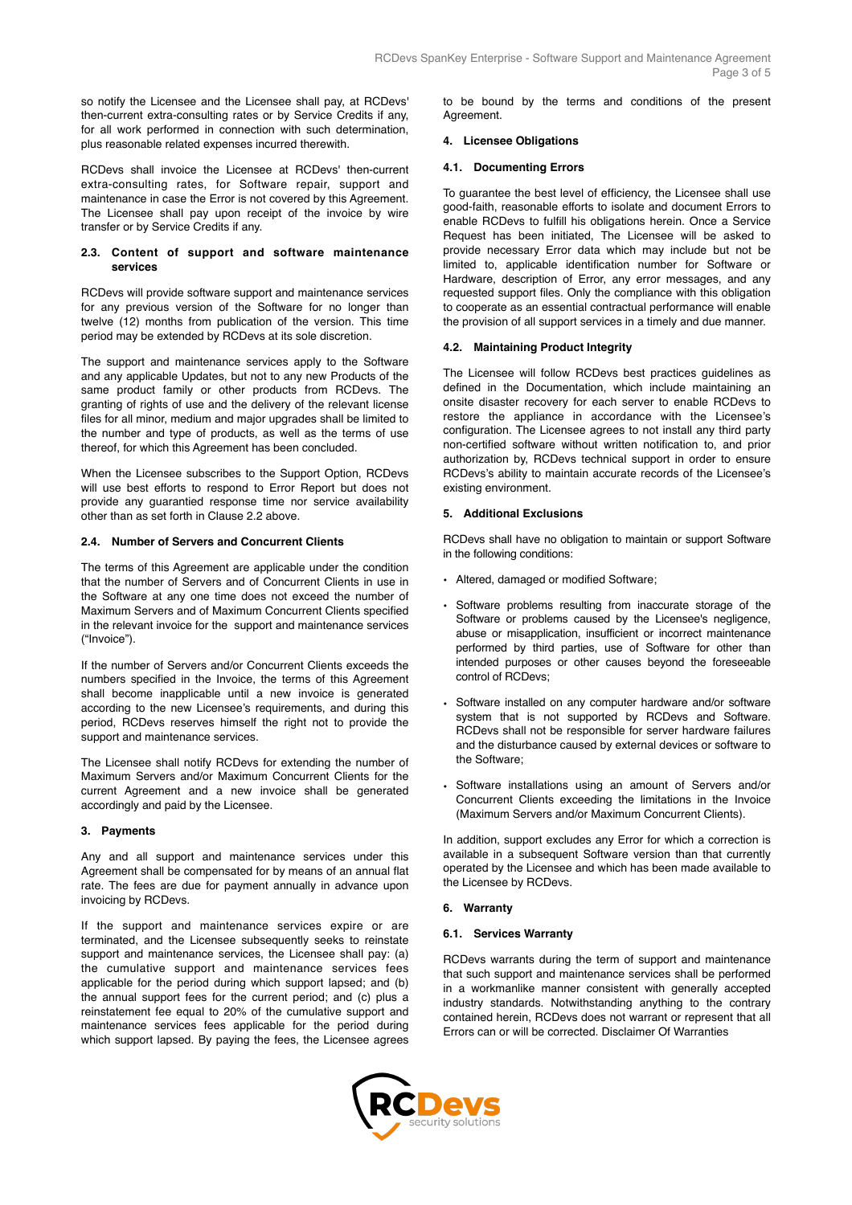so notify the Licensee and the Licensee shall pay, at RCDevs' then-current extra-consulting rates or by Service Credits if any, for all work performed in connection with such determination, plus reasonable related expenses incurred therewith.

RCDevs shall invoice the Licensee at RCDevs' then-current extra-consulting rates, for Software repair, support and maintenance in case the Error is not covered by this Agreement. The Licensee shall pay upon receipt of the invoice by wire transfer or by Service Credits if any.

### **2.3. Content of support and software maintenance services**

RCDevs will provide software support and maintenance services for any previous version of the Software for no longer than twelve (12) months from publication of the version. This time period may be extended by RCDevs at its sole discretion.

The support and maintenance services apply to the Software and any applicable Updates, but not to any new Products of the same product family or other products from RCDevs. The granting of rights of use and the delivery of the relevant license files for all minor, medium and major upgrades shall be limited to the number and type of products, as well as the terms of use thereof, for which this Agreement has been concluded.

When the Licensee subscribes to the Support Option, RCDevs will use best efforts to respond to Error Report but does not provide any guarantied response time nor service availability other than as set forth in Clause 2.2 above.

## **2.4. Number of Servers and Concurrent Clients**

The terms of this Agreement are applicable under the condition that the number of Servers and of Concurrent Clients in use in the Software at any one time does not exceed the number of Maximum Servers and of Maximum Concurrent Clients specified in the relevant invoice for the support and maintenance services ("Invoice").

If the number of Servers and/or Concurrent Clients exceeds the numbers specified in the Invoice, the terms of this Agreement shall become inapplicable until a new invoice is generated according to the new Licensee's requirements, and during this period, RCDevs reserves himself the right not to provide the support and maintenance services.

The Licensee shall notify RCDevs for extending the number of Maximum Servers and/or Maximum Concurrent Clients for the current Agreement and a new invoice shall be generated accordingly and paid by the Licensee.

### **3. Payments**

Any and all support and maintenance services under this Agreement shall be compensated for by means of an annual flat rate. The fees are due for payment annually in advance upon invoicing by RCDevs.

If the support and maintenance services expire or are terminated, and the Licensee subsequently seeks to reinstate support and maintenance services, the Licensee shall pay: (a) the cumulative support and maintenance services fees applicable for the period during which support lapsed; and (b) the annual support fees for the current period; and (c) plus a reinstatement fee equal to 20% of the cumulative support and maintenance services fees applicable for the period during which support lapsed. By paying the fees, the Licensee agrees

to be bound by the terms and conditions of the present **Agreement** 

### **4. Licensee Obligations**

#### **4.1. Documenting Errors**

To guarantee the best level of efficiency, the Licensee shall use good-faith, reasonable efforts to isolate and document Errors to enable RCDevs to fulfill his obligations herein. Once a Service Request has been initiated, The Licensee will be asked to provide necessary Error data which may include but not be limited to, applicable identification number for Software or Hardware, description of Error, any error messages, and any requested support files. Only the compliance with this obligation to cooperate as an essential contractual performance will enable the provision of all support services in a timely and due manner.

### **4.2. Maintaining Product Integrity**

The Licensee will follow RCDevs best practices guidelines as defined in the Documentation, which include maintaining an onsite disaster recovery for each server to enable RCDevs to restore the appliance in accordance with the Licensee's configuration. The Licensee agrees to not install any third party non-certified software without written notification to, and prior authorization by, RCDevs technical support in order to ensure RCDevs's ability to maintain accurate records of the Licensee's existing environment.

### **5. Additional Exclusions**

RCDevs shall have no obligation to maintain or support Software in the following conditions:

- Altered, damaged or modified Software;
- Software problems resulting from inaccurate storage of the Software or problems caused by the Licensee's negligence, abuse or misapplication, insufficient or incorrect maintenance performed by third parties, use of Software for other than intended purposes or other causes beyond the foreseeable control of RCDevs;
- Software installed on any computer hardware and/or software system that is not supported by RCDevs and Software. RCDevs shall not be responsible for server hardware failures and the disturbance caused by external devices or software to the Software;
- Software installations using an amount of Servers and/or Concurrent Clients exceeding the limitations in the Invoice (Maximum Servers and/or Maximum Concurrent Clients).

In addition, support excludes any Error for which a correction is available in a subsequent Software version than that currently operated by the Licensee and which has been made available to the Licensee by RCDevs.

### **6. Warranty**

### **6.1. Services Warranty**

RCDevs warrants during the term of support and maintenance that such support and maintenance services shall be performed in a workmanlike manner consistent with generally accepted industry standards. Notwithstanding anything to the contrary contained herein, RCDevs does not warrant or represent that all Errors can or will be corrected. Disclaimer Of Warranties

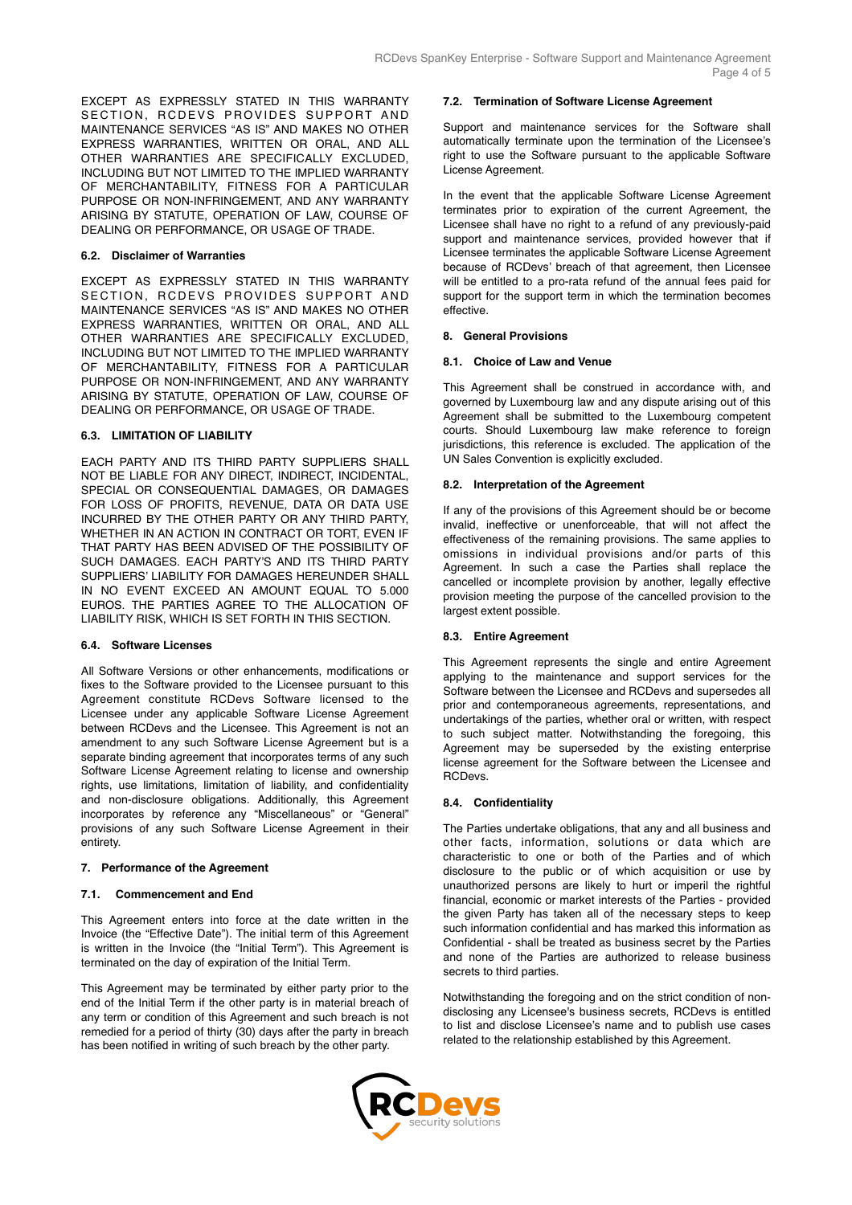EXCEPT AS EXPRESSLY STATED IN THIS WARRANTY SECTION, RCDEVS PROVIDES SUPPORT AND MAINTENANCE SERVICES "AS IS" AND MAKES NO OTHER EXPRESS WARRANTIES, WRITTEN OR ORAL, AND ALL OTHER WARRANTIES ARE SPECIFICALLY EXCLUDED, INCLUDING BUT NOT LIMITED TO THE IMPLIED WARRANTY OF MERCHANTABILITY, FITNESS FOR A PARTICULAR PURPOSE OR NON-INFRINGEMENT, AND ANY WARRANTY ARISING BY STATUTE, OPERATION OF LAW, COURSE OF DEALING OR PERFORMANCE, OR USAGE OF TRADE.

## **6.2. Disclaimer of Warranties**

EXCEPT AS EXPRESSLY STATED IN THIS WARRANTY SECTION, RCDEVS PROVIDES SUPPORT AND MAINTENANCE SERVICES "AS IS" AND MAKES NO OTHER EXPRESS WARRANTIES, WRITTEN OR ORAL, AND ALL OTHER WARRANTIES ARE SPECIFICALLY EXCLUDED, INCLUDING BUT NOT LIMITED TO THE IMPLIED WARRANTY OF MERCHANTABILITY, FITNESS FOR A PARTICULAR PURPOSE OR NON-INFRINGEMENT, AND ANY WARRANTY ARISING BY STATUTE, OPERATION OF LAW, COURSE OF DEALING OR PERFORMANCE, OR USAGE OF TRADE.

## **6.3. LIMITATION OF LIABILITY**

EACH PARTY AND ITS THIRD PARTY SUPPLIERS SHALL NOT BE LIABLE FOR ANY DIRECT, INDIRECT, INCIDENTAL, SPECIAL OR CONSEQUENTIAL DAMAGES, OR DAMAGES FOR LOSS OF PROFITS, REVENUE, DATA OR DATA USE INCURRED BY THE OTHER PARTY OR ANY THIRD PARTY, WHETHER IN AN ACTION IN CONTRACT OR TORT, EVEN IF THAT PARTY HAS BEEN ADVISED OF THE POSSIBILITY OF SUCH DAMAGES. EACH PARTY'S AND ITS THIRD PARTY SUPPLIERS' LIABILITY FOR DAMAGES HEREUNDER SHALL IN NO EVENT EXCEED AN AMOUNT EQUAL TO 5.000 EUROS. THE PARTIES AGREE TO THE ALLOCATION OF LIABILITY RISK, WHICH IS SET FORTH IN THIS SECTION.

# **6.4. Software Licenses**

All Software Versions or other enhancements, modifications or fixes to the Software provided to the Licensee pursuant to this Agreement constitute RCDevs Software licensed to the Licensee under any applicable Software License Agreement between RCDevs and the Licensee. This Agreement is not an amendment to any such Software License Agreement but is a separate binding agreement that incorporates terms of any such Software License Agreement relating to license and ownership rights, use limitations, limitation of liability, and confidentiality and non-disclosure obligations. Additionally, this Agreement incorporates by reference any "Miscellaneous" or "General" provisions of any such Software License Agreement in their entirety.

### **7. Performance of the Agreement**

### **7.1. Commencement and End**

This Agreement enters into force at the date written in the Invoice (the "Effective Date"). The initial term of this Agreement is written in the Invoice (the "Initial Term"). This Agreement is terminated on the day of expiration of the Initial Term.

This Agreement may be terminated by either party prior to the end of the Initial Term if the other party is in material breach of any term or condition of this Agreement and such breach is not remedied for a period of thirty (30) days after the party in breach has been notified in writing of such breach by the other party.

#### **7.2. Termination of Software License Agreement**

Support and maintenance services for the Software shall automatically terminate upon the termination of the Licensee's right to use the Software pursuant to the applicable Software License Agreement.

In the event that the applicable Software License Agreement terminates prior to expiration of the current Agreement, the Licensee shall have no right to a refund of any previously-paid support and maintenance services, provided however that if Licensee terminates the applicable Software License Agreement because of RCDevs' breach of that agreement, then Licensee will be entitled to a pro-rata refund of the annual fees paid for support for the support term in which the termination becomes effective.

### **8. General Provisions**

### **8.1. Choice of Law and Venue**

This Agreement shall be construed in accordance with, and governed by Luxembourg law and any dispute arising out of this Agreement shall be submitted to the Luxembourg competent courts. Should Luxembourg law make reference to foreign jurisdictions, this reference is excluded. The application of the UN Sales Convention is explicitly excluded.

## **8.2. Interpretation of the Agreement**

If any of the provisions of this Agreement should be or become invalid, ineffective or unenforceable, that will not affect the effectiveness of the remaining provisions. The same applies to omissions in individual provisions and/or parts of this Agreement. In such a case the Parties shall replace the cancelled or incomplete provision by another, legally effective provision meeting the purpose of the cancelled provision to the largest extent possible.

### **8.3. Entire Agreement**

This Agreement represents the single and entire Agreement applying to the maintenance and support services for the Software between the Licensee and RCDevs and supersedes all prior and contemporaneous agreements, representations, and undertakings of the parties, whether oral or written, with respect to such subject matter. Notwithstanding the foregoing, this Agreement may be superseded by the existing enterprise license agreement for the Software between the Licensee and RCDevs.

## **8.4. Confidentiality**

The Parties undertake obligations, that any and all business and other facts, information, solutions or data which are characteristic to one or both of the Parties and of which disclosure to the public or of which acquisition or use by unauthorized persons are likely to hurt or imperil the rightful financial, economic or market interests of the Parties - provided the given Party has taken all of the necessary steps to keep such information confidential and has marked this information as Confidential - shall be treated as business secret by the Parties and none of the Parties are authorized to release business secrets to third parties.

Notwithstanding the foregoing and on the strict condition of nondisclosing any Licensee's business secrets, RCDevs is entitled to list and disclose Licensee's name and to publish use cases related to the relationship established by this Agreement.